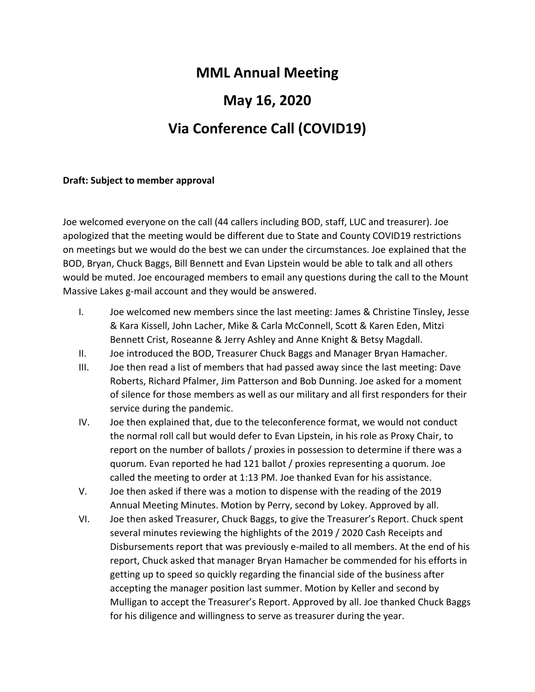## **MML Annual Meeting May 16, 2020**

## **Via Conference Call (COVID19)**

#### **Draft: Subject to member approval**

Joe welcomed everyone on the call (44 callers including BOD, staff, LUC and treasurer). Joe apologized that the meeting would be different due to State and County COVID19 restrictions on meetings but we would do the best we can under the circumstances. Joe explained that the BOD, Bryan, Chuck Baggs, Bill Bennett and Evan Lipstein would be able to talk and all others would be muted. Joe encouraged members to email any questions during the call to the Mount Massive Lakes g-mail account and they would be answered.

- I. Joe welcomed new members since the last meeting: James & Christine Tinsley, Jesse & Kara Kissell, John Lacher, Mike & Carla McConnell, Scott & Karen Eden, Mitzi Bennett Crist, Roseanne & Jerry Ashley and Anne Knight & Betsy Magdall.
- II. Joe introduced the BOD, Treasurer Chuck Baggs and Manager Bryan Hamacher.
- III. Joe then read a list of members that had passed away since the last meeting: Dave Roberts, Richard Pfalmer, Jim Patterson and Bob Dunning. Joe asked for a moment of silence for those members as well as our military and all first responders for their service during the pandemic.
- IV. Joe then explained that, due to the teleconference format, we would not conduct the normal roll call but would defer to Evan Lipstein, in his role as Proxy Chair, to report on the number of ballots / proxies in possession to determine if there was a quorum. Evan reported he had 121 ballot / proxies representing a quorum. Joe called the meeting to order at 1:13 PM. Joe thanked Evan for his assistance.
- V. Joe then asked if there was a motion to dispense with the reading of the 2019 Annual Meeting Minutes. Motion by Perry, second by Lokey. Approved by all.
- VI. Joe then asked Treasurer, Chuck Baggs, to give the Treasurer's Report. Chuck spent several minutes reviewing the highlights of the 2019 / 2020 Cash Receipts and Disbursements report that was previously e-mailed to all members. At the end of his report, Chuck asked that manager Bryan Hamacher be commended for his efforts in getting up to speed so quickly regarding the financial side of the business after accepting the manager position last summer. Motion by Keller and second by Mulligan to accept the Treasurer's Report. Approved by all. Joe thanked Chuck Baggs for his diligence and willingness to serve as treasurer during the year.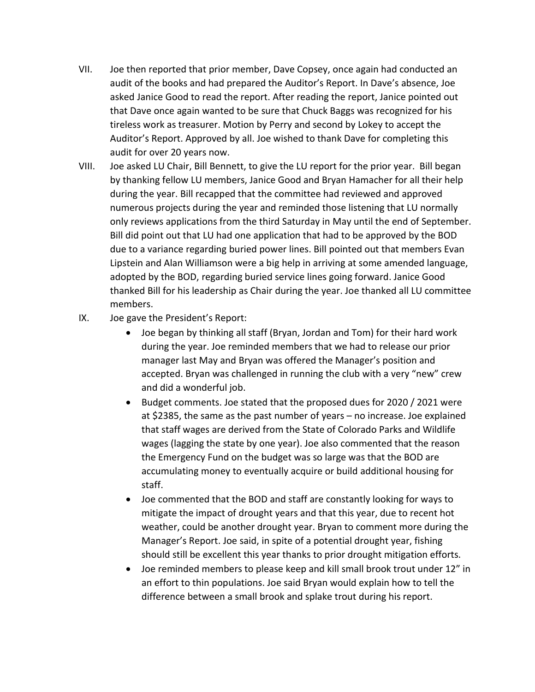- VII. Joe then reported that prior member, Dave Copsey, once again had conducted an audit of the books and had prepared the Auditor's Report. In Dave's absence, Joe asked Janice Good to read the report. After reading the report, Janice pointed out that Dave once again wanted to be sure that Chuck Baggs was recognized for his tireless work as treasurer. Motion by Perry and second by Lokey to accept the Auditor's Report. Approved by all. Joe wished to thank Dave for completing this audit for over 20 years now.
- VIII. Joe asked LU Chair, Bill Bennett, to give the LU report for the prior year. Bill began by thanking fellow LU members, Janice Good and Bryan Hamacher for all their help during the year. Bill recapped that the committee had reviewed and approved numerous projects during the year and reminded those listening that LU normally only reviews applications from the third Saturday in May until the end of September. Bill did point out that LU had one application that had to be approved by the BOD due to a variance regarding buried power lines. Bill pointed out that members Evan Lipstein and Alan Williamson were a big help in arriving at some amended language, adopted by the BOD, regarding buried service lines going forward. Janice Good thanked Bill for his leadership as Chair during the year. Joe thanked all LU committee members.
- IX. Joe gave the President's Report:
	- Joe began by thinking all staff (Bryan, Jordan and Tom) for their hard work during the year. Joe reminded members that we had to release our prior manager last May and Bryan was offered the Manager's position and accepted. Bryan was challenged in running the club with a very "new" crew and did a wonderful job.
	- Budget comments. Joe stated that the proposed dues for 2020 / 2021 were at \$2385, the same as the past number of years – no increase. Joe explained that staff wages are derived from the State of Colorado Parks and Wildlife wages (lagging the state by one year). Joe also commented that the reason the Emergency Fund on the budget was so large was that the BOD are accumulating money to eventually acquire or build additional housing for staff.
	- Joe commented that the BOD and staff are constantly looking for ways to mitigate the impact of drought years and that this year, due to recent hot weather, could be another drought year. Bryan to comment more during the Manager's Report. Joe said, in spite of a potential drought year, fishing should still be excellent this year thanks to prior drought mitigation efforts.
	- Joe reminded members to please keep and kill small brook trout under 12" in an effort to thin populations. Joe said Bryan would explain how to tell the difference between a small brook and splake trout during his report.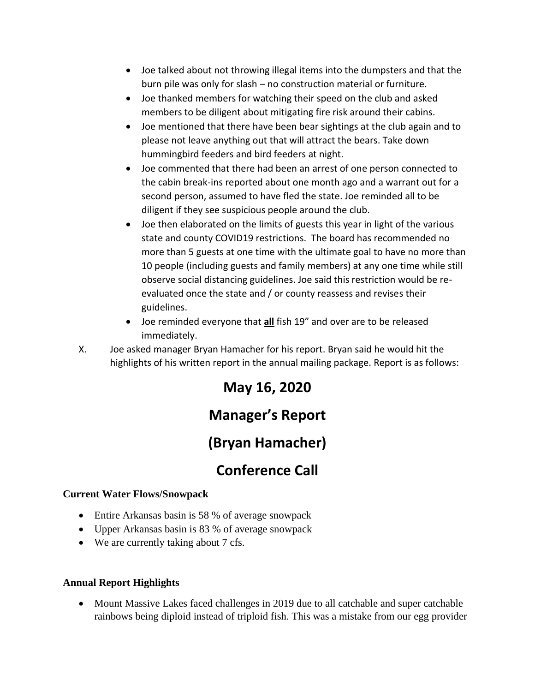- Joe talked about not throwing illegal items into the dumpsters and that the burn pile was only for slash – no construction material or furniture.
- Joe thanked members for watching their speed on the club and asked members to be diligent about mitigating fire risk around their cabins.
- Joe mentioned that there have been bear sightings at the club again and to please not leave anything out that will attract the bears. Take down hummingbird feeders and bird feeders at night.
- Joe commented that there had been an arrest of one person connected to the cabin break-ins reported about one month ago and a warrant out for a second person, assumed to have fled the state. Joe reminded all to be diligent if they see suspicious people around the club.
- Joe then elaborated on the limits of guests this year in light of the various state and county COVID19 restrictions. The board has recommended no more than 5 guests at one time with the ultimate goal to have no more than 10 people (including guests and family members) at any one time while still observe social distancing guidelines. Joe said this restriction would be reevaluated once the state and / or county reassess and revises their guidelines.
- Joe reminded everyone that **all** fish 19" and over are to be released immediately.
- X. Joe asked manager Bryan Hamacher for his report. Bryan said he would hit the highlights of his written report in the annual mailing package. Report is as follows:

# **May 16, 2020**

## **Manager's Report**

## **(Bryan Hamacher)**

## **Conference Call**

#### **Current Water Flows/Snowpack**

- Entire Arkansas basin is 58 % of average snowpack
- Upper Arkansas basin is 83 % of average snowpack
- We are currently taking about 7 cfs.

#### **Annual Report Highlights**

• Mount Massive Lakes faced challenges in 2019 due to all catchable and super catchable rainbows being diploid instead of triploid fish. This was a mistake from our egg provider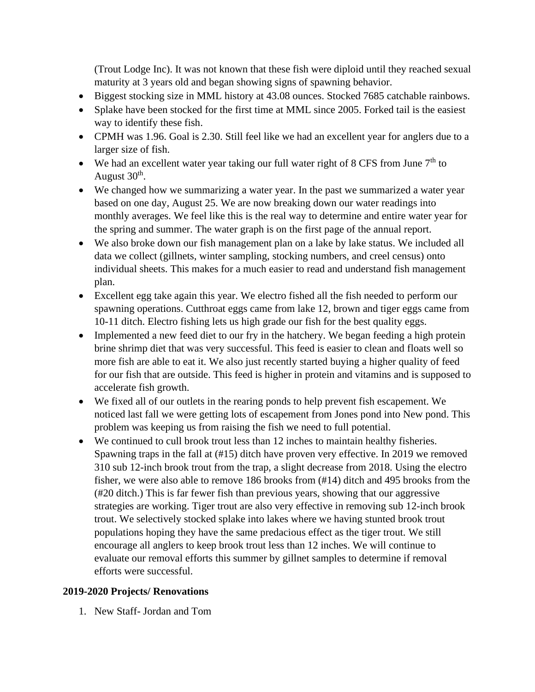(Trout Lodge Inc). It was not known that these fish were diploid until they reached sexual maturity at 3 years old and began showing signs of spawning behavior.

- Biggest stocking size in MML history at 43.08 ounces. Stocked 7685 catchable rainbows.
- Splake have been stocked for the first time at MML since 2005. Forked tail is the easiest way to identify these fish.
- CPMH was 1.96. Goal is 2.30. Still feel like we had an excellent year for anglers due to a larger size of fish.
- We had an excellent water year taking our full water right of 8 CFS from June  $7<sup>th</sup>$  to August  $30<sup>th</sup>$ .
- We changed how we summarizing a water year. In the past we summarized a water year based on one day, August 25. We are now breaking down our water readings into monthly averages. We feel like this is the real way to determine and entire water year for the spring and summer. The water graph is on the first page of the annual report.
- We also broke down our fish management plan on a lake by lake status. We included all data we collect (gillnets, winter sampling, stocking numbers, and creel census) onto individual sheets. This makes for a much easier to read and understand fish management plan.
- Excellent egg take again this year. We electro fished all the fish needed to perform our spawning operations. Cutthroat eggs came from lake 12, brown and tiger eggs came from 10-11 ditch. Electro fishing lets us high grade our fish for the best quality eggs.
- Implemented a new feed diet to our fry in the hatchery. We began feeding a high protein brine shrimp diet that was very successful. This feed is easier to clean and floats well so more fish are able to eat it. We also just recently started buying a higher quality of feed for our fish that are outside. This feed is higher in protein and vitamins and is supposed to accelerate fish growth.
- We fixed all of our outlets in the rearing ponds to help prevent fish escapement. We noticed last fall we were getting lots of escapement from Jones pond into New pond. This problem was keeping us from raising the fish we need to full potential.
- We continued to cull brook trout less than 12 inches to maintain healthy fisheries. Spawning traps in the fall at (#15) ditch have proven very effective. In 2019 we removed 310 sub 12-inch brook trout from the trap, a slight decrease from 2018. Using the electro fisher, we were also able to remove 186 brooks from (#14) ditch and 495 brooks from the (#20 ditch.) This is far fewer fish than previous years, showing that our aggressive strategies are working. Tiger trout are also very effective in removing sub 12-inch brook trout. We selectively stocked splake into lakes where we having stunted brook trout populations hoping they have the same predacious effect as the tiger trout. We still encourage all anglers to keep brook trout less than 12 inches. We will continue to evaluate our removal efforts this summer by gillnet samples to determine if removal efforts were successful.

#### **2019-2020 Projects/ Renovations**

1. New Staff- Jordan and Tom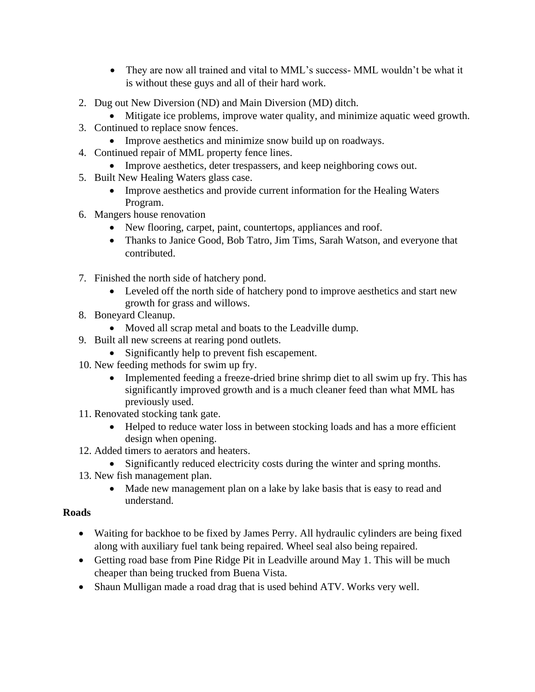- They are now all trained and vital to MML's success-MML wouldn't be what it is without these guys and all of their hard work.
- 2. Dug out New Diversion (ND) and Main Diversion (MD) ditch.
	- Mitigate ice problems, improve water quality, and minimize aquatic weed growth.
- 3. Continued to replace snow fences.
	- Improve aesthetics and minimize snow build up on roadways.
- 4. Continued repair of MML property fence lines.
	- Improve aesthetics, deter trespassers, and keep neighboring cows out.
- 5. Built New Healing Waters glass case.
	- Improve aesthetics and provide current information for the Healing Waters Program.
- 6. Mangers house renovation
	- New flooring, carpet, paint, countertops, appliances and roof.
	- Thanks to Janice Good, Bob Tatro, Jim Tims, Sarah Watson, and everyone that contributed.
- 7. Finished the north side of hatchery pond.
	- Leveled off the north side of hatchery pond to improve aesthetics and start new growth for grass and willows.
- 8. Boneyard Cleanup.
	- Moved all scrap metal and boats to the Leadville dump.
- 9. Built all new screens at rearing pond outlets.
	- Significantly help to prevent fish escapement.
- 10. New feeding methods for swim up fry.
	- Implemented feeding a freeze-dried brine shrimp diet to all swim up fry. This has significantly improved growth and is a much cleaner feed than what MML has previously used.
- 11. Renovated stocking tank gate.
	- Helped to reduce water loss in between stocking loads and has a more efficient design when opening.
- 12. Added timers to aerators and heaters.
	- Significantly reduced electricity costs during the winter and spring months.
- 13. New fish management plan.
	- Made new management plan on a lake by lake basis that is easy to read and understand.

#### **Roads**

- Waiting for backhoe to be fixed by James Perry. All hydraulic cylinders are being fixed along with auxiliary fuel tank being repaired. Wheel seal also being repaired.
- Getting road base from Pine Ridge Pit in Leadville around May 1. This will be much cheaper than being trucked from Buena Vista.
- Shaun Mulligan made a road drag that is used behind ATV. Works very well.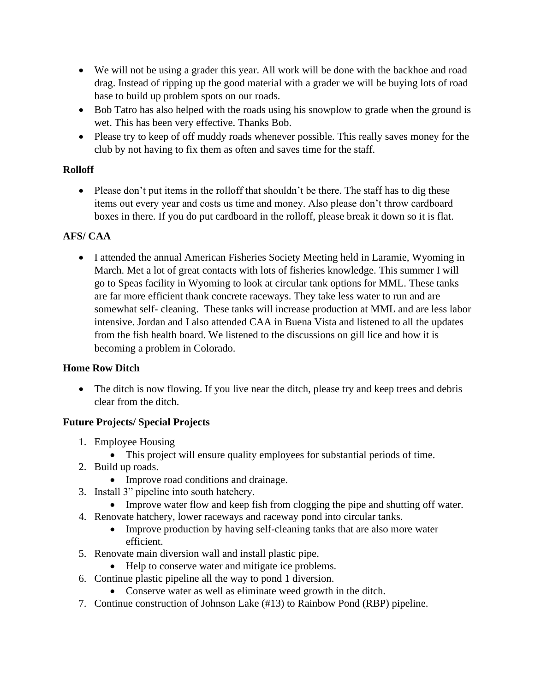- We will not be using a grader this year. All work will be done with the backhoe and road drag. Instead of ripping up the good material with a grader we will be buying lots of road base to build up problem spots on our roads.
- Bob Tatro has also helped with the roads using his snowplow to grade when the ground is wet. This has been very effective. Thanks Bob.
- Please try to keep of off muddy roads whenever possible. This really saves money for the club by not having to fix them as often and saves time for the staff.

#### **Rolloff**

• Please don't put items in the rolloff that shouldn't be there. The staff has to dig these items out every year and costs us time and money. Also please don't throw cardboard boxes in there. If you do put cardboard in the rolloff, please break it down so it is flat.

#### **AFS/ CAA**

• I attended the annual American Fisheries Society Meeting held in Laramie, Wyoming in March. Met a lot of great contacts with lots of fisheries knowledge. This summer I will go to Speas facility in Wyoming to look at circular tank options for MML. These tanks are far more efficient thank concrete raceways. They take less water to run and are somewhat self- cleaning. These tanks will increase production at MML and are less labor intensive. Jordan and I also attended CAA in Buena Vista and listened to all the updates from the fish health board. We listened to the discussions on gill lice and how it is becoming a problem in Colorado.

#### **Home Row Ditch**

• The ditch is now flowing. If you live near the ditch, please try and keep trees and debris clear from the ditch.

#### **Future Projects/ Special Projects**

- 1. Employee Housing
	- This project will ensure quality employees for substantial periods of time.
- 2. Build up roads.
	- Improve road conditions and drainage.
- 3. Install 3" pipeline into south hatchery.
	- Improve water flow and keep fish from clogging the pipe and shutting off water.
- 4. Renovate hatchery, lower raceways and raceway pond into circular tanks.
	- Improve production by having self-cleaning tanks that are also more water efficient.
- 5. Renovate main diversion wall and install plastic pipe.
	- Help to conserve water and mitigate ice problems.
- 6. Continue plastic pipeline all the way to pond 1 diversion.
	- Conserve water as well as eliminate weed growth in the ditch.
- 7. Continue construction of Johnson Lake (#13) to Rainbow Pond (RBP) pipeline.